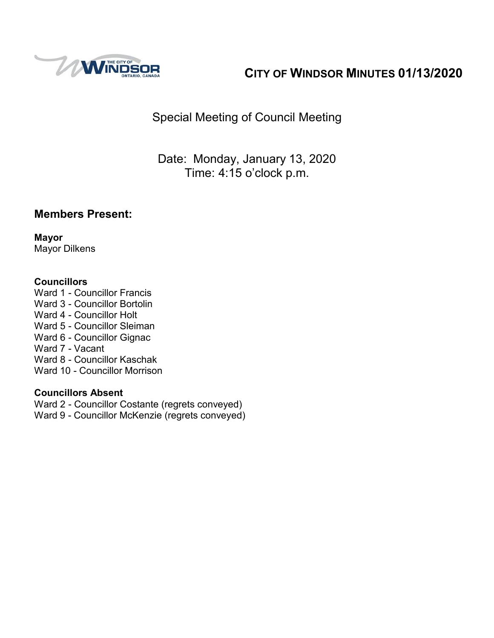

# **CITY OF WINDSOR MINUTES 01/13/2020**

# Special Meeting of Council Meeting

Date: Monday, January 13, 2020 Time: 4:15 o'clock p.m.

#### **Members Present:**

**Mayor** Mayor Dilkens

#### **Councillors**

Ward 1 - Councillor Francis Ward 3 - Councillor Bortolin Ward 4 - Councillor Holt Ward 5 - Councillor Sleiman Ward 6 - Councillor Gignac Ward 7 - Vacant Ward 8 - Councillor Kaschak Ward 10 - Councillor Morrison

#### **Councillors Absent**

Ward 2 - Councillor Costante (regrets conveyed)

Ward 9 - Councillor McKenzie (regrets conveyed)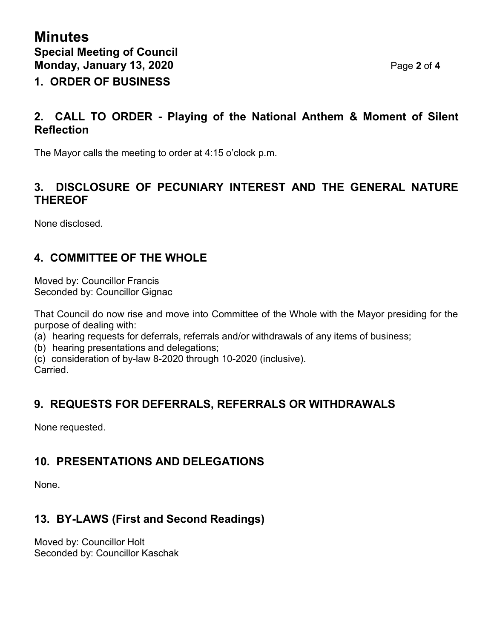### **2. CALL TO ORDER - Playing of the National Anthem & Moment of Silent Reflection**

The Mayor calls the meeting to order at 4:15 o'clock p.m.

#### **3. DISCLOSURE OF PECUNIARY INTEREST AND THE GENERAL NATURE THEREOF**

None disclosed.

## **4. COMMITTEE OF THE WHOLE**

Moved by: Councillor Francis Seconded by: Councillor Gignac

That Council do now rise and move into Committee of the Whole with the Mayor presiding for the purpose of dealing with:

- (a) hearing requests for deferrals, referrals and/or withdrawals of any items of business;
- (b) hearing presentations and delegations;
- (c) consideration of by-law 8-2020 through 10-2020 (inclusive).

Carried.

## **9. REQUESTS FOR DEFERRALS, REFERRALS OR WITHDRAWALS**

None requested.

# **10. PRESENTATIONS AND DELEGATIONS**

None.

# **13. BY-LAWS (First and Second Readings)**

Moved by: Councillor Holt Seconded by: Councillor Kaschak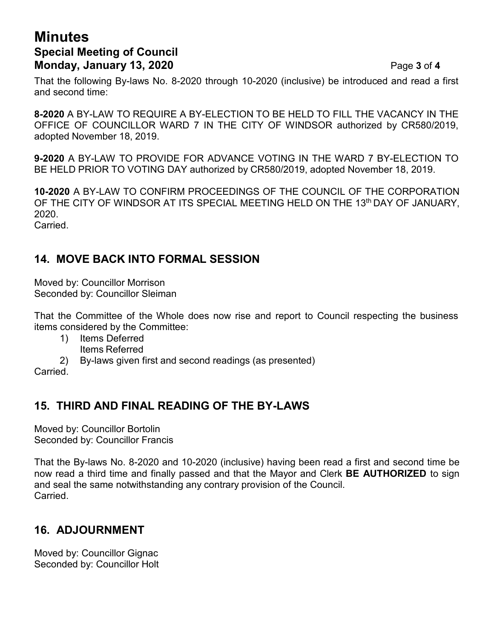## **Minutes Special Meeting of Council Monday, January 13, 2020** Page **3** of **4**

That the following By-laws No. 8-2020 through 10-2020 (inclusive) be introduced and read a first and second time:

**8-2020** A BY-LAW TO REQUIRE A BY-ELECTION TO BE HELD TO FILL THE VACANCY IN THE OFFICE OF COUNCILLOR WARD 7 IN THE CITY OF WINDSOR authorized by CR580/2019, adopted November 18, 2019.

**9-2020** A BY-LAW TO PROVIDE FOR ADVANCE VOTING IN THE WARD 7 BY-ELECTION TO BE HELD PRIOR TO VOTING DAY authorized by CR580/2019, adopted November 18, 2019.

**10-2020** A BY-LAW TO CONFIRM PROCEEDINGS OF THE COUNCIL OF THE CORPORATION OF THE CITY OF WINDSOR AT ITS SPECIAL MEETING HELD ON THE 13<sup>th</sup> DAY OF JANUARY, 2020. **Carried** 

**14. MOVE BACK INTO FORMAL SESSION**

Moved by: Councillor Morrison Seconded by: Councillor Sleiman

That the Committee of the Whole does now rise and report to Council respecting the business items considered by the Committee:

- 1) Items Deferred
	- Items Referred
- 2) By-laws given first and second readings (as presented)

Carried.

## **15. THIRD AND FINAL READING OF THE BY-LAWS**

Moved by: Councillor Bortolin Seconded by: Councillor Francis

That the By-laws No. 8-2020 and 10-2020 (inclusive) having been read a first and second time be now read a third time and finally passed and that the Mayor and Clerk **BE AUTHORIZED** to sign and seal the same notwithstanding any contrary provision of the Council. Carried.

# **16. ADJOURNMENT**

Moved by: Councillor Gignac Seconded by: Councillor Holt